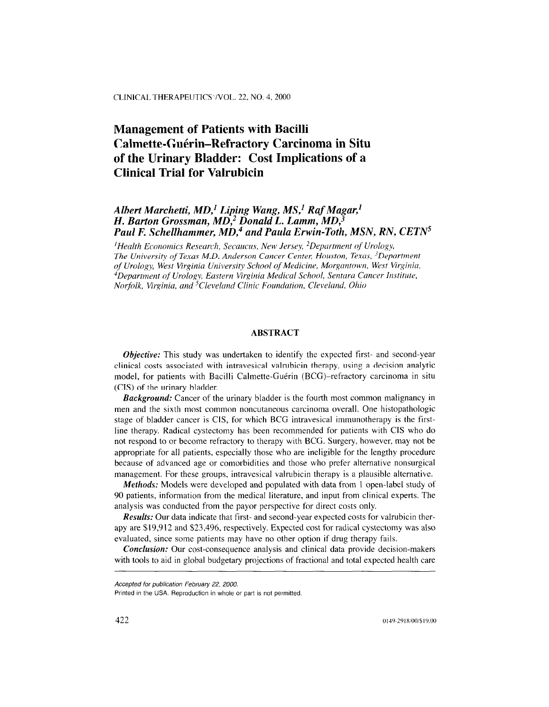# Management of Patients with Bacilli Calmette-Guérin-Refractory Carcinoma in Situ of the Urinary Bladder: Cost Implications of a Clinical Trial for Valruhicin

# Albert Marchetti, MD,' Liping Wang, MS,' Raf Magar,' H. Barton Grossman, MD,2 Donald L. Lamm, MD,3 Paul F. Schellhammer,  $MD<sub>1</sub><sup>4</sup>$  and Paula Erwin-Toth, MSN, RN, CETN<sup>5</sup>

 $H$ Health Economics Research, Secaucus, New Jersey, <sup>2</sup>Department of Urology, The University of Texas M.D. Anderson Cancer Center, Houston, Texas, <sup>3</sup>Department of Urology, West Virginia University School qf Medicine, Morgantown, West Virginiu, <sup>4</sup>Department of Urology, Eastern Virginia Medical School, Sentara Cancer Institute, Norfolk, Virginia, and <sup>5</sup>Cleveland Clinic Foundation, Cleveland, Ohio

## ABSTRACT

Objective: This study was undertaken to identify the expected first- and second-year *Objective:* This study was undertaken to identify the expected first- and second-year clinical costs associated with intravesical valrubicin therapy, using a decision analytic model, for patients with Bacilli Calmette-Guérin (BCG)-refractory carcinoma in situ  $(CIS)$  of the urinary bladder.

**Background:** Cancer of the urinary bladder is the fourth most common malignancy in men and the sixth most common noncutaneous carcinoma overall. One histopathologic stage of bladder cancer is CIS, for which BCG intravesical immunotherapy is the firstline therapy. Radical cystectomy has been recommended for patients with CIS who do not respond to or become refractory to therapy with BCG. Surgery, however, may not be appropriate for all patients, especially those who are ineligible for the lengthy procedure because of advanced age or comorbidities and those who prefer alternative nonsurgical management. For these groups, intravesical valrubicin therapy is a plausible alternative.

**Methods:** Models were developed and populated with data from 1 open-label study of 90 patients, information from the medical literature, and input from clinical experts. The analysis was conducted from the payor perspective for direct costs only.

**Results:** Our data indicate that first- and second-year expected costs for valrubicin therapy are \$19,912 and \$23,496, respectively. Expected cost for radical cystectomy was also evaluated, since some patients may have no other option if drug therapy fails.

**Conclusion:** Our cost-consequence analysis and clinical data provide decision-makers with tools to aid in global budgetary projections of fractional and total expected health care

Accepted for publication February 22, 2000. Accepted for publication February 22, 2000.

Printed in the USA. Reproduction in whole or part is not permitted.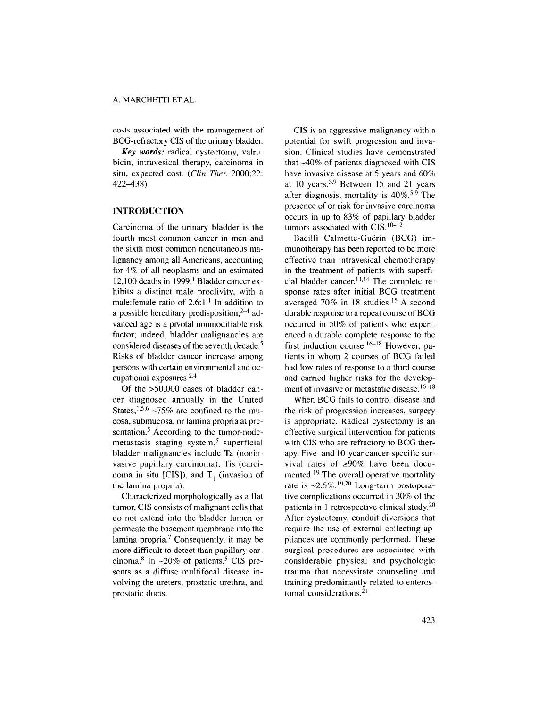costs associated with the management of BCG-refractory CIS of the urinary bladder.

Key words: radical cystectomy, valrubicin, intravesical therapy, carcinoma in situ, expected cost. (Clin Ther. 2000;22: 422438)

# INTRODUCTION

Carcinoma of the urinary bladder is the fourth most common cancer in men and the sixth most common noncutaneous malignancy among all Americans, accounting for 4% of all neoplasms and an estimated 12,100 deaths in 1999.' Bladder cancer exhibits a distinct male proclivity, with a male: female ratio of  $2.6:1<sup>1</sup>$  In addition to a possible hereditary predisposition,  $2-4$  advanced age is a pivotal nonmodifiable risk factor; indeed, bladder malignancies are considered diseases of the seventh decade.5 Risks of bladder cancer increase among persons with certain environmental and occupational exposures.2,4

Of the >50,000 cases of bladder cancer diagnosed annually in the United States,<sup>1,5,6</sup> ~75% are confined to the mucosa, submucosa, or lamina propria at presentation. $5$  According to the tumor-nodemetastasis staging system, $5$  superficial bladder malignancies include Ta (noninvasive papillary carcinoma), Tis (carcinoma in situ [CIS]), and  $T_1$  (invasion of the lamina propria).

Characterized morphologically as a flat tumor, CIS consists of malignant cells that do not extend into the bladder lumen or permeate the basement membrane into the lamina propria.<sup>7</sup> Consequently, it may be more difficult to detect than papillary carcinoma.<sup>8</sup> In  $\sim$ 20% of patients,<sup>5</sup> CIS presents as a diffuse multifocal disease involving the ureters, prostatic urethra, and prostatic ducts.

ClS is an aggressive malignancy with a potential for swift progression and invasion. Clinical studies have demonstrated that  $~40\%$  of patients diagnosed with CIS have invasive disease at 5 years and 60% at 10 years.5,9 Between I5 and 21 years after diagnosis, mortality is 4O%.5,9 The presence of or risk for invasive carcinoma occurs in up to 83% of papillary bladder tumors associated with  $CIS$ .<sup>10-12</sup>

Bacilli Calmette-Guérin (BCG) immunotherapy has been reported to be more effective than intravesical chemotherapy in the treatment of patients with superficial bladder cancer. $13,14$  The complete response rates after initial BCG treatment averaged 70% in 18 studies.<sup>15</sup> A second durable response to a repeat course of BCG occurred in 50% of patients who experienced a durable complete response to the first induction course.<sup>16-18</sup> However, patients in whom 2 courses of BCG failed had low rates of response to a third course and carried higher risks for the development of invasive or metastatic disease.<sup>16-18</sup>

When BCG fails to control disease and the risk of progression increases, surgery is appropriate. Radical cystectomy is an effective surgical intervention for patients with CIS who are refractory to BCG therapy. Five- and 10-year cancer-specific survival rates of  $\geq 90\%$  have been documented.<sup>19</sup> The overall operative mortality rate is  $\approx 2.5\%$ .<sup>19,20</sup> Long-term postoperative complications occurred in 30% of the patients in 1 retrospective clinical study. $20$ After cystectomy, conduit diversions that require the use of external collecting appliances are commonly performed. These surgical procedures are associated with considerable physical and psychologic considerable physical and psychologic traunia that necessitate counsering an training predominantly related to enteros-<br>tomal considerations.<sup>21</sup>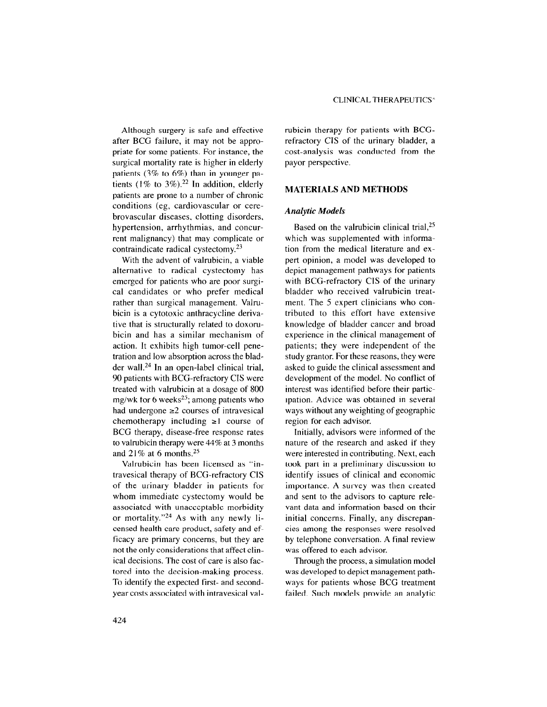Although surgery is safe and effective after BCG failure, it may not be appropriate for some patients. For instance, the surgical mortality rate is higher in elderly patients (3% to 6%) than in younger patients  $(1\%$  to  $3\%)$ .<sup>22</sup> In addition, elderly patients are prone to a number of chronic conditions (eg, cardiovascular or cerebrovascular diseases, clotting disorders, hypertension, arrhythmias, and concurrent malignancy) that may complicate or contraindicate radical cystectomy.<sup>23</sup>

With the advent of valrubicin, a viable alternative to radical cystectomy has emerged for patients who are poor surgical candidates or who prefer medical rather than surgical management. Valrubicin is a cytotoxic anthracycline derivative that is structurally related to doxorubicin and has a similar mechanism of action. It exhibits high tumor-cell penetration and low absorption across the bladder wall. $24$  In an open-label clinical trial, 90 patients with BCG-refractory CIS were treated with valrubicin at a dosage of 800 mg/wk for 6 weeks<sup>25</sup>; among patients who had undergone  $\geq 2$  courses of intravesical chemotherapy including  $\geq 1$  course of BCG therapy, disease-free response rates to valrubicin therapy were 44% at 3 months and  $21\%$  at 6 months.<sup>25</sup>

Valrubicin has been licensed as "intravesical therapy of BCG-refractory CIS of the urinary bladder in patients for whom immediate cystectomy would be associated with unacceptable morbidity or mortality."24 As with any newly licensed health care product, safety and efficacy are primary concerns, but they are not the only considerations that affect clinical decisions. The cost of care is also fac $t_{\text{tot}}$  is decision-making process. torca mo ine accision-making process To identify the expected first- and second-<br>year costs associated with intravesical valrubicin therapy for patients with BCGrefractory CIS of the urinary bladder, a cost-analysis was conducted from the payor perspective.

#### MATERIALS AND METHODS

#### Analytic Models

Based on the valrubicin clinical trial, $25$ which was supplemented with information from the medical literature and expert opinion, a model was developed to depict management pathways for patients with BCG-refractory CIS of the urinary bladder who received valrubicin treatment. The 5 expert clinicians who contributed to this effort have extensive knowledge of bladder cancer and broad experience in the clinical management of patients; they were independent of the study grantor. For these reasons, they were asked to guide the clinical assessment and development of the model. No conflict of interest was identified before their participation. Advice was obtained in several ways without any weighting of geographic region for each advisor.

Initially, advisors were informed of the nature of the research and asked if they were interested in contributing. Next, each took part in a preliminary discussion to identify issues of clinical and economic importance. A survey was then created and sent to the advisors to capture relevant data and information based on their initial concerns. Finally, any discrepancies among the responses were resolved by telephone conversation. A final review was offered to each advisor.

Through the process, a simulation model was developed to depict management pathways for patients whose BCG treatment failed. Such models provide an analytic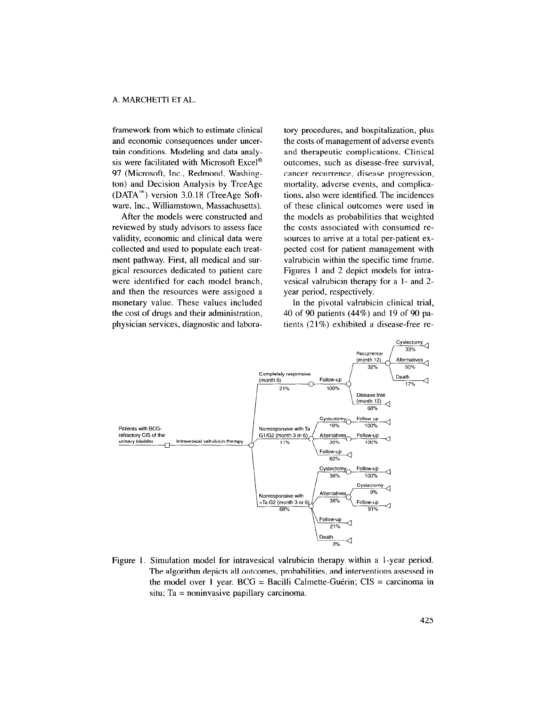framework from which to estimate clinical and economic consequences under uncertain conditions. Modeling and data analysis were facilitated with Microsoft Excel<sup>®</sup> 97 (Microsoft, Inc., Redmond, Washington) and Decision Analysis by TreeAge (DATA'") version 3.0.18 (TreeAge Software, Inc., Williamstown, Massachusetts).

After the models were constructed and reviewed by study advisors to assess face validity, economic and clinical data were collected and used to populate each treatment pathway. First, all medical and surgical resources dedicated to patient care were identified for each model branch, and then the resources were assigned a monetary value. These values included the cost of drugs and their administration, physician services, diagnostic and labora-

tory procedures, and hospitalization, plus the costs of management of adverse events and therapeutic complications. Clinical outcomes, such as disease-free survival, cancer recurrence, disease progression, mortality, adverse events, and complications, also were identified. The incidences of these clinical outcomes were used in the models as probabilities that weighted the costs associated with consumed resources to arrive at a total per-patient expected cost for patient management with valrubicin within the specific time frame. Figures I and 2 depict models for intravesical valrubicin therapy for a I- and 2 year period, respectively.

In the pivotal valrubicin clinical trial, 40 of 90 patients (44%) and 19 of 90 patients (21%) exhibited a disease-free re-



Figure 1. Simulation model for intravesical valrubicin therapy within a l-year period. The algorithm depicts all outcomes, probabilities, and interventions assessed in the model over I year.  $BCG =$  Bacilli Calmette-Guérin;  $CIS =$  carcinoma in situ; Ta = noninvasive papillary carcinoma.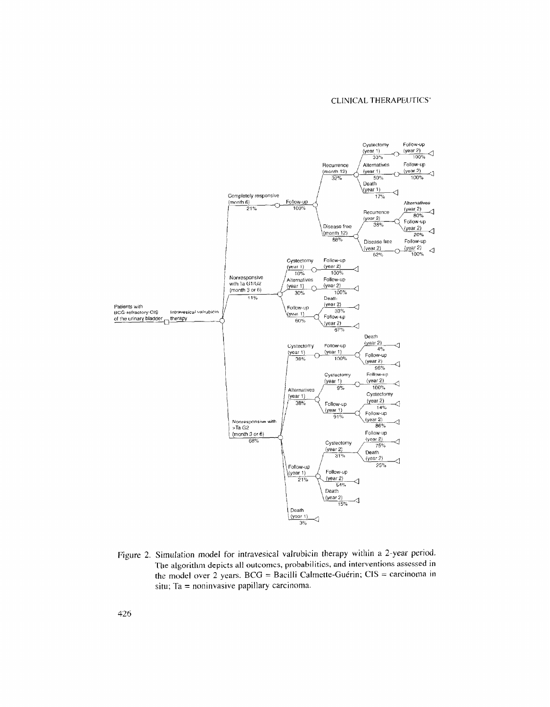

Figure 2. Simulation model for intravesical valrubicin therapy within a 2-year period. The algorithm depicts all outcomes, probabilities, and interventions assessed in the model over 2 years.  $BCG = Bacilli$  Calmette-Guérin;  $CIS =$  carcinoma in situ; Ta = noninvasive papillary carcinoma.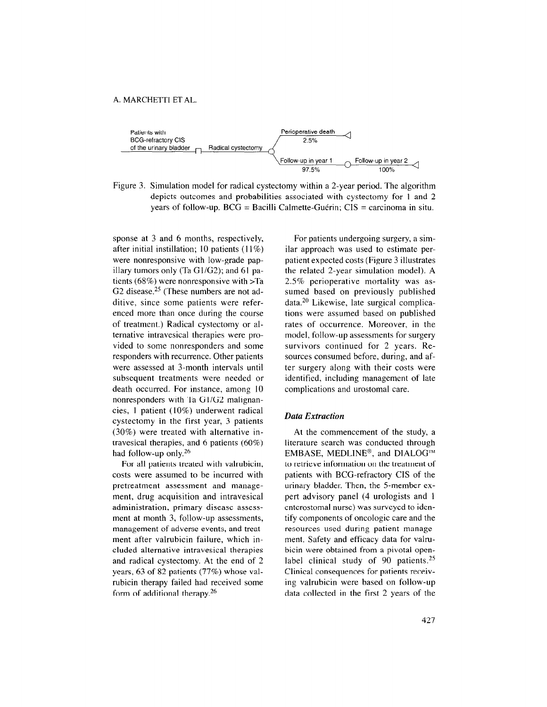

Figure 3. Simulation model for radical cystectomy within a 2-year period. The algorithm depicts outcomes and probabilities associated with cystectomy for 1 and 2 years of follow-up.  $BCG =$  Bacilli Calmette-Guérin;  $CIS =$  carcinoma in situ.

sponse at 3 and 6 months, respectively, after initial instillation; IO patients (11%) were nonresponsive with low-grade papillary tumors only (Ta  $GI/G2$ ); and 61 patients (68%) were nonresponsive with >Ta G2 disease.<sup>25</sup> (These numbers are not additive, since some patients were referenced more than once during the course of treatment.) Radical cystectomy or alternative intravesical therapies were provided to some nonresponders and some responders with recurrence. Other patients were assessed at 3-month intervals until subsequent treatments were needed or death occurred. For instance, among 10 nonresponders with Ta Gl/G2 malignancies, I patient (10%) underwent radical cystectomy in the first year, 3 patients (30%) were treated with alternative intravesical therapies, and 6 patients (60%) had follow-up only.<sup>26</sup>

For all patients treated with valrubicin, costs were assumed to be incurred with pretreatment assessment and management, drug acquisition and intravesical administration, primary disease assessment at month 3, follow-up assessments, management of adverse events, and treatment after valrubicin failure, which included alternative intravesical therapies and radical cystectomy. At the end of 2 years, 63 of 82 patients (77%) whose valrubicin therapy failed had received some form of additional therapy. $26$ 

For patients undergoing surgery, a similar approach was used to estimate perpatient expected costs (Figure 3 illustrates the related 2-year simulation model). A 2.5% perioperative mortality was assumed based on previously published data.20 Likewise, late surgical complications were assumed based on published rates of occurrence. Moreover, in the model, follow-up assessments for surgery survivors continued for 2 years. Resources consumed before, during, and after surgery along with their costs were identified, including management of late complications and urostomal care.

#### Data Extraction

At the commencement of the study, a literature search was conducted through EMBASE, MEDLINE<sup>®</sup>, and DIALOG<sup>™</sup> to retrieve information on the treatment of patients with BCG-refractory CIS of the urinary bladder. Then, the 5-member expert advisory panel (4 urologists and 1 enterostomal nurse) was surveyed to identify components of oncologic care and the resources used during patient management. Safety and efficacy data for valrubicin were obtained from a pivotal openlabel clinical study of 90 patients.<sup>25</sup> racci cinical staaj of 20 patients.  $\sum_{i=1}^{n}$  value based on follow-up for  $\sum_{i=1}^{n}$ ing valrubicin were based on follow-up<br>data collected in the first 2 years of the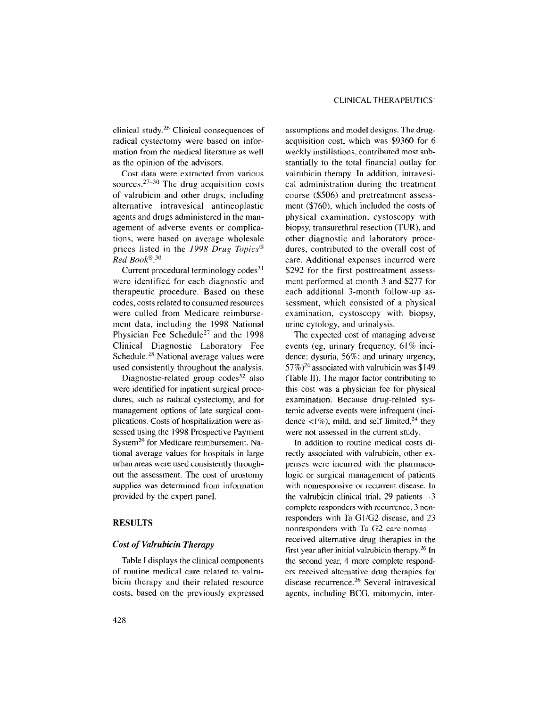clinical study. 26 Clinical consequences of radical cystectomy were based on information from the medical literature as well as the opinion of the advisors.

Cost data were extracted from various sources.<sup>27-30</sup> The drug-acquisition costs of valrubicin and other drugs, including alternative intravesical antineoplastic agents and drugs administered in the management of adverse events or complications, were based on average wholesale prices listed in the 1998 Drug Topics<sup>®</sup> Red Book $8.30$ 

Current procedural terminology  $codes<sup>31</sup>$ were identified for each diagnostic and therapeutic procedure. Based on these codes, costs related to consumed resources were culled from Medicare reimbursement data, including the 1998 National Physician Fee Schedule<sup>27</sup> and the 1998 Clinical Diagnostic Laboratory Fee Schedule.<sup>28</sup> National average values were used consistently throughout the analysis.

Diagnostic-related group codes<sup>32</sup> also were identified for inpatient surgical procedures, such as radical cystectomy, and for management options of late surgical complications. Costs of hospitalization were assessed using the 1998 Prospective Payment System<sup>29</sup> for Medicare reimbursement. National average values for hospitals in large urban areas were used consistently throughout the assessment. The cost of urostomy supplies was determined from information provided by the expert panel.

#### RESULTS

#### Cost of Valrubicin Therapy

Table I displays the clinical components of routine medical care related to valrubicin therapy and their related resource costs, based on the previously expressed assumptions and model designs. The drugacquisition cost, which was \$9360 for 6 weekly instillations, contributed most substantially to the total financial outlay for valrubicin therapy. In addition, intravesical administration during the treatment course (\$506) and pretreatment assessment (\$760), which included the costs of physical examination, cystoscopy with biopsy, transurethral resection (TUR), and other diagnostic and laboratory procedures, contributed to the overall cost of care. Additional expenses incurred were \$292 for the first posttreatment assessment performed at month 3 and \$277 for each additional 3-month follow-up assessment, which consisted of a physical examination, cystoscopy with biopsy, urine cytology, and urinalysis.

The expected cost of managing adverse events (eg, urinary frequency, 61% incidence; dysuria, 56%; and urinary urgency,  $57\%)^{24}$  associated with valrubicin was \$149 (Table II). The major factor contributing to this cost was a physician fee for physical examination. Because drug-related systemic adverse events were infrequent (incidence  $\langle 1\% \rangle$ , mild, and self limited,<sup>24</sup> they were not assessed in the current study.

In addition to routine medical costs directly associated with valrubicin, other expenses were incurred with the pharmacologic or surgical management of patients with nonresponsive or recurrent disease. In the valrubicin clinical trial,  $29$  patients $-3$ complete responders with recurrence, 3 nonresponders with Ta G1/G2 disease, and 23 nonresponders with Ta G2 carcinomasreceived alternative drug therapies in the first year after initial valrubicin therapy.<sup>26</sup> In the second year, 4 more complete responders received alternative drug therapies for disease recurrence. $26$  Several intravesical agents, including BCG, mitomycin, inter-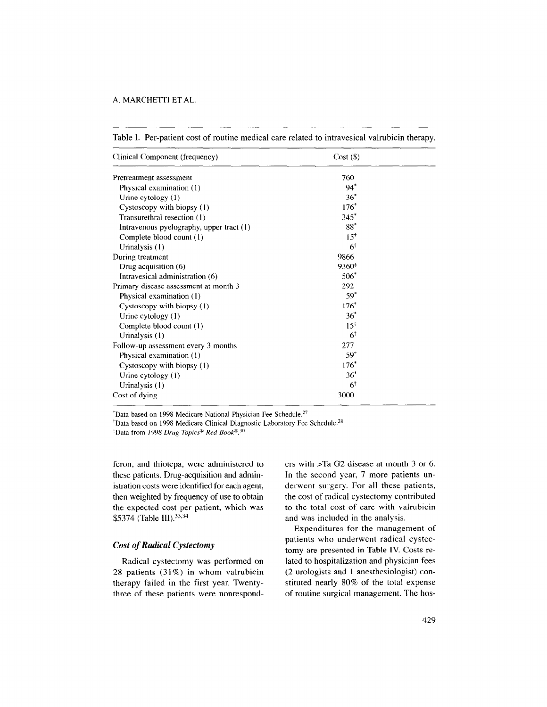| Clinical Component (frequency)           | $Cost($ \$)    |  |
|------------------------------------------|----------------|--|
| Pretreatment assessment                  | 760            |  |
| Physical examination (1)                 | $94*$          |  |
| Urine cytology $(1)$                     | $36^*$         |  |
| Cystoscopy with biopsy (1)               | $176*$         |  |
| Transurethral resection (1)              | $345*$         |  |
| Intravenous pyelography, upper tract (1) | $88*$          |  |
| Complete blood count (1)                 | $15^{\dagger}$ |  |
| Urinalysis (1)                           | $6\dagger$     |  |
| During treatment                         | 9866           |  |
| Drug acquisition (6)                     | 9360‡          |  |
| Intravesical administration (6)          | $506*$         |  |
| Primary disease assessment at month 3    | 292            |  |
| Physical examination (1)                 | $59*$          |  |
| Cystoscopy with biopsy (1)               | $176*$         |  |
| Urine cytology $(1)$                     | $36*$          |  |
| Complete blood count (1)                 | $15^{\dagger}$ |  |
| Urinalysis $(1)$                         | $6\dagger$     |  |
| Follow-up assessment every 3 months      | 277            |  |
| Physical examination (1)                 | $59*$          |  |
| Cystoscopy with biopsy (1)               | $176*$         |  |
| Urine cytology (1)                       | $36*$          |  |
| Urinalysis (1)                           | $6\dagger$     |  |
| Cost of dying                            | 3000           |  |

Table I. Per-patient cost of routine medical care related to intravesical valrubicin therapy.

 $*$ Data based on 1998 Medicare National Physician Fee Schedule.<sup>27</sup>

<sup>†</sup>Data based on 1998 Medicare Clinical Diagnostic Laboratory Fee Schedule.<sup>28</sup>

 $*$ Data from 1998 Drug Topics<sup>®</sup> Red Book<sup>® 30</sup>

these patients. Drug-acquisition and admin- In the second year, 7 more patients unistration costs were identified for each agent, derwent surgery. For all these patients, then weighted by frequency of use to obtain the cost of radical cystectomy contributed the expected cost per patient, which was to the total cost of care with valrubicin \$5374 (Table III).<sup>33,34</sup> and was included in the analysis.

#### Cost of Radical Cystectomy

Radical cystectomy was performed on  $28 \times 10^{10}$  patients (31%) in which values (31%) in which values (31%) in the state of  $\frac{1}{2}$  $\frac{1}{\sqrt{2}}$ therapy failed in the first year. Twenty-<br>three of these patients were nonrespond-

feron, and thiotepa, were administered to ers with >Ta G2 disease at month 3 or 6.

Expenditures for the management of patients who underwent radical cystectomy are presented in Table IV. Costs related to hospitalization and physician fees (2 urologists and 1 anesthesiologist) con- $\frac{1}{\sqrt{2}}$  stringers and the total experimental expenses of the total expenses of the total experimental expenses of the total experimental expenses of  $\frac{1}{\sqrt{2}}$  $\frac{1}{2}$  routing  $\frac{1}{2}$  of  $\frac{1}{2}$  means  $\frac{1}{2}$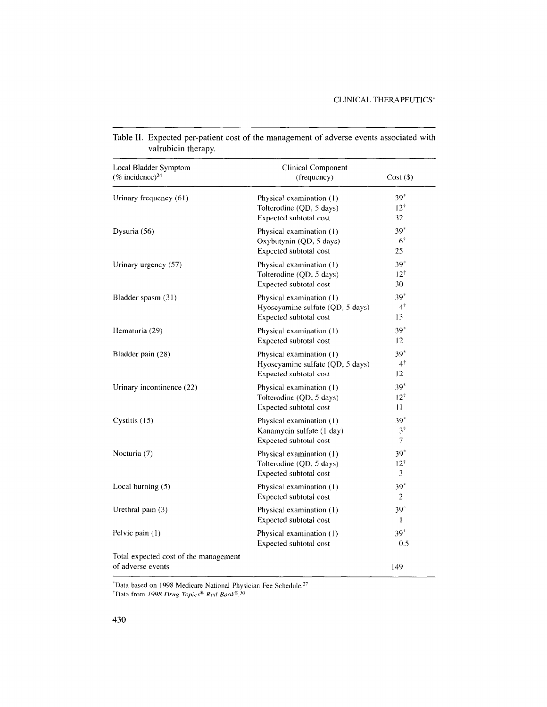| Local Bladder Symptom<br>(% incidence) $^{24}$ | Clinical Component<br>(frequency)                  | Cost(S)        |
|------------------------------------------------|----------------------------------------------------|----------------|
|                                                |                                                    |                |
| Urinary frequency (61)                         | Physical examination (1)                           | $39*$          |
|                                                | Tolterodine (QD, 5 days)                           | $12^+$         |
|                                                | Expected subtotal cost                             | 32             |
| Dysuria (56)                                   | Physical examination (1)                           | $39*$          |
|                                                | Oxybutynin (QD, 5 days)                            | $6^{\dagger}$  |
|                                                | Expected subtotal cost                             | 25             |
| Urinary urgency (57)                           | Physical examination (1)                           | $39*$          |
|                                                | Tolterodine (QD, 5 days)                           | $12^{\dagger}$ |
|                                                | Expected subtotal cost                             | 30             |
| Bladder spasm (31)                             | Physical examination (1)                           | $39*$          |
|                                                | Hyoscyamine sulfate (QD, 5 days)                   | $4^{\dagger}$  |
|                                                | Expected subtotal cost                             | 13             |
| Hematuria (29)                                 | Physical examination (1)                           | $39*$          |
|                                                | Expected subtotal cost                             | 12             |
| Bladder pain (28)                              | Physical examination (1)                           | $39*$          |
|                                                | Hyoscyamine sulfate (QD, 5 days)                   | $4^{\dagger}$  |
|                                                | Expected subtotal cost                             | 12             |
| Urinary incontinence (22)                      | Physical examination (1)                           | $39*$          |
|                                                | Tolterodine (QD, 5 days)                           | $12^{+}$       |
|                                                | Expected subtotal cost                             | $\mathbf{11}$  |
| Cystitis (15)                                  | Physical examination (1)                           | $39*$          |
|                                                | Kanamycin sulfate (1 day)                          | $3^{\dagger}$  |
|                                                | Expected subtotal cost                             | 7              |
| Nocturia (7)                                   | Physical examination (1)                           | $39*$          |
|                                                | Tolterodine (QD, 5 days)                           | $12^{\dagger}$ |
|                                                | Expected subtotal cost                             | 3              |
| Local burning (5)                              | Physical examination (1)                           | $39*$          |
|                                                | Expected subtotal cost                             | 2              |
| Urethral pain (3)                              | Physical examination (1)                           | $39*$          |
|                                                | Expected subtotal cost                             | ı              |
|                                                |                                                    | $39*$          |
| Pelvic pain (1)                                | Physical examination (1)<br>Expected subtotal cost | 0.5            |
|                                                |                                                    |                |
| Total expected cost of the management          |                                                    |                |
| of adverse events                              |                                                    | 149            |

Table II. Expected per-patient cost of the management of adverse events associated with valrubicin therapy.

'Data based on 1998 Medicare National Physician Fee Schedule.<br>Data based on 1998 Medicare National Physician Fee Schedule. Data based on 1998 Medicare National P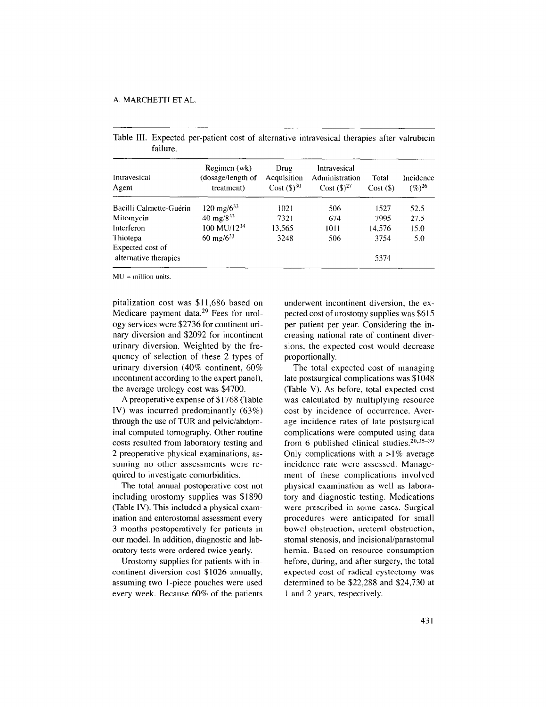| Intravesical<br>Agent                     | Regimen (wk)<br>(dosage/length of<br>treatment) | Drug<br>Acquisition<br>Cost $({\$})^{30}$ | Intravesical<br>Administration<br>$Cost (3)^{27}$ | Total<br>$Cost($ \$) | Incidence<br>$(\%)^{26}$ |
|-------------------------------------------|-------------------------------------------------|-------------------------------------------|---------------------------------------------------|----------------------|--------------------------|
| Bacilli Calmette-Guérin                   | $120 \text{ mg}/6^{33}$                         | 1021                                      | 506                                               | 1527                 | 52.5                     |
| Mitomycin                                 | 40 mg/ $8^{33}$                                 | 7321                                      | 674                                               | 7995                 | 27.5                     |
| Interferon                                | 100 MU/1234                                     | 13,565                                    | 1011                                              | 14,576               | 15.0                     |
| Thiotepa                                  | 60 mg/ $6^{33}$                                 | 3248                                      | 506                                               | 3754                 | 5.0                      |
| Expected cost of<br>alternative therapies |                                                 |                                           |                                                   | 5374                 |                          |

Table III. Expected per-patient cost of alternative intravesical therapies after valrubicin failure.

 $MU =$  million units.

pitalization cost was \$11,686 based on Medicare payment data.29 Fees for urology services were \$2736 for continent urinary diversion and \$2092 for incontinent urinary diversion. Weighted by the frequency of selection of these 2 types of urinary diversion (40% continent, 60% incontinent according to the expert panel), the average urology cost was \$4700.

A preoperative expense of \$1768 (Table IV) was incurred predominantly (63%) through the use of TUR and pelvic/abdominal computed tomography. Other routine costs resulted from laboratory testing and 2 preoperative physical examinations, assuming no other assessments were required to investigate comorbidities.

The total annual postoperative cost not including urostomy supplies was \$1890 (Table 1V). This included a physical examination and enterostomal assessment every 3 months postoperatively for patients in our model. In addition, diagnostic and laboratory tests were ordered twice yearly.

Urostomy supplies for patients with incontinent diversion cost \$1026 annually, assuming two I-piece pouches were used every week. Because 60% of the patients underwent incontinent diversion, the expected cost of urostomy supplies was \$6 15 per patient per year. Considering the increasing national rate of continent diversions, the expected cost would decrease proportionally.

The total expected cost of managing late postsurgical complications was \$1048 (Table V). As before, total expected cost was calculated by multiplying resource cost by incidence of occurrence. Average incidence rates of late postsurgical complications were computed using data from 6 published clinical studies.  $20,35-39$ Only complications with a  $>1\%$  average incidence rate were assessed. Management of these complications involved physical examination as well as laboratory and diagnostic testing. Medications were prescribed in some cases. Surgical procedures were anticipated for small bowel obstruction, ureteral obstruction, stomal stenosis, and incisional/parastomal hernia. Based on resource consumption before, during, and after surgery, the total expected cost of radical cystectomy was  $\alpha$  because to be a 222,288 and  $\alpha$   $\alpha$   $\beta$  $\frac{1}{2}$  and  $\frac{1}{2}$  and  $\frac{1}{2}$  and  $\frac{1}{2}$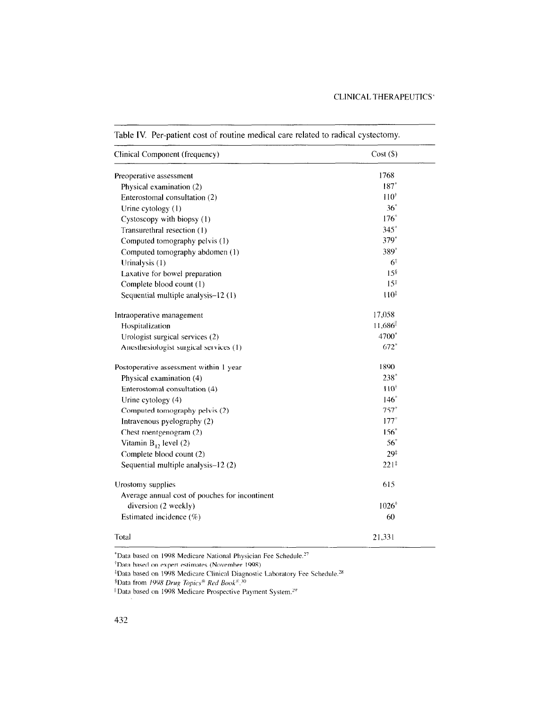| Clinical Component (frequency)                 | $Cost($ \$)      |
|------------------------------------------------|------------------|
| Preoperative assessment                        | 1768             |
| Physical examination (2)                       | $187*$           |
| Enterostomal consultation (2)                  | $110^{+}$        |
| Urine cytology (1)                             | $36^*$           |
| Cystoscopy with biopsy (1)                     | $176^*$          |
| Transurethral resection (1)                    | $345*$           |
| Computed tomography pelvis (1)                 | 379*             |
| Computed tomography abdomen (1)                | 389*             |
| Urinalysis (1)                                 | 6‡               |
| Laxative for bowel preparation                 | 15 <sup>§</sup>  |
| Complete blood count (1)                       | $15^{\ddagger}$  |
| Sequential multiple analysis-12 (1)            | 110 <sup>‡</sup> |
| Intraoperative management                      | 17,058           |
| Hospitalization                                | 11,686           |
| Urologist surgical services (2)                | 4700*            |
| Anesthesiologist surgical services (1)         | $672*$           |
| Postoperative assessment within 1 year         | 1890             |
| Physical examination (4)                       | 238*             |
| Enterostomal consultation (4)                  | $110^{+}$        |
| Urine cytology (4)                             | $146*$           |
| Computed tomography pelvis (2)                 | $757*$           |
| Intravenous pyelography (2)                    | $177*$           |
| Chest roentgenogram (2)                        | $156*$           |
| Vitamin $B_{12}$ level (2)                     | $56^*$           |
| Complete blood count (2)                       | 29‡              |
| Sequential multiple analysis-12 (2)            | $221^{\ddagger}$ |
| Urostomy supplies                              | 615              |
| Average annual cost of pouches for incontinent |                  |
| diversion (2 weekly)                           | $1026^{+}$       |
| Estimated incidence (%)                        | 60               |
| Total                                          | 21,331           |

Table IV. Per-patient cost of routine medical care related to radical cystectomy.

\*Data based on 1998 Medicare National Physician Fee Schedule."  $*$ Data based on 1998 Medicare National Physician Fee Schedule.<sup>27</sup>

<sup>†</sup>Data based on expert estimates (November 1998).

 $\frac{1}{2}$ Data bosad on 1008 Madisons Clinical Discr

 $\text{Data from 1998}$  Deve Tapics Pad Root  $\mathbb{R}$  30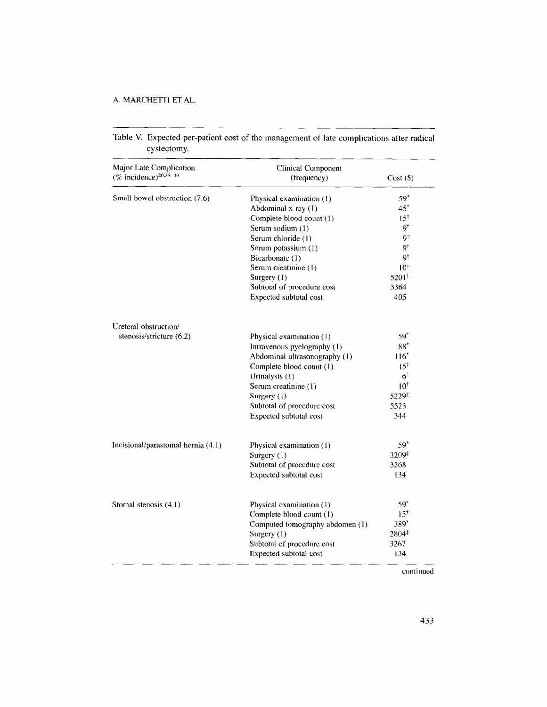| Major Late Complication<br>(% incidence) <sup>20,35-39</sup> | <b>Clinical Component</b><br>(frequency) | $Cost($ \$)            |
|--------------------------------------------------------------|------------------------------------------|------------------------|
|                                                              |                                          | $59*$                  |
| Small bowel obstruction (7.6)                                | Physical examination (1)                 |                        |
|                                                              | Abdominal x-ray (1)                      | $45^*$                 |
|                                                              | Complete blood count (1)                 | $15^{\dagger}$<br>Q†   |
|                                                              | Serum sodium (1)                         | 9Ť                     |
|                                                              | Serum chloride (1)                       | $\mathbf{Q}^{\dagger}$ |
|                                                              | Serum potassium (1)                      |                        |
|                                                              | Bicarbonate (1)                          | 9t                     |
|                                                              | Serum creatinine (1)                     | $10^{\dagger}$         |
|                                                              | Surgery (1)                              | 5201#                  |
|                                                              | Subtotal of procedure cost               | 5364                   |
|                                                              | Expected subtotal cost                   | 405                    |
| Ureteral obstruction/                                        |                                          |                        |
| stenosis/stricture (6.2)                                     | Physical examination (1)                 | $59*$                  |
|                                                              | Intravenous pyelography (1)              | $88*$                  |
|                                                              | Abdominal ultrasonography (1)            | $116*$                 |
|                                                              | Complete blood count (1)                 | $15^{\dagger}$         |
|                                                              | Urinalysis (1)                           | $6^{\dagger}$          |
|                                                              | Serum creatinine (1)                     | $10^{\dagger}$         |
|                                                              | Surgery (1)                              | 5229#                  |
|                                                              | Subtotal of procedure cost               | 5523                   |
|                                                              | Expected subtotal cost                   | 344                    |
| Incisional/parastomal hernia (4.1)                           | Physical examination (1)                 | $59*$                  |
|                                                              | Surgery (1)                              | 3209#                  |
|                                                              | Subtotal of procedure cost               | 3268                   |
|                                                              |                                          | 134                    |
|                                                              | Expected subtotal cost                   |                        |
| Stomal stenosis (4.1)                                        | Physical examination (1)                 | 59*                    |
|                                                              | Complete blood count (1)                 | $15^{\dagger}$         |
|                                                              | Computed tomography abdomen (1)          | 389*                   |
|                                                              | Surgery (1)                              | 2804#                  |
|                                                              | Subtotal of procedure cost               | 3267                   |
|                                                              | Expected subtotal cost                   | 134                    |

Table V. Expected per-patient cost of the management of late complications after radical cystectomy.

continued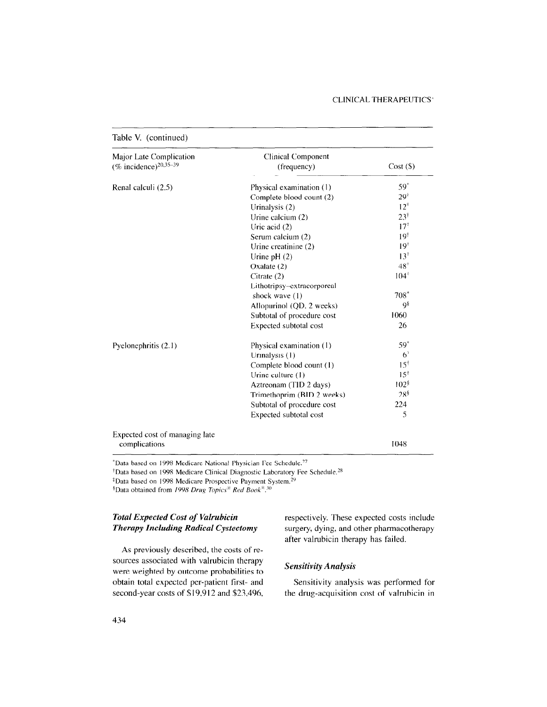#### CLINICAL THERAPEUTICS'

| Renal calculi (2.5)            |                            | $Cost($ \$)      |
|--------------------------------|----------------------------|------------------|
|                                | Physical examination (1)   | $59^*$           |
|                                | Complete blood count (2)   | $29^{\circ}$     |
|                                | Urinalysis (2)             | $12^+$           |
|                                | Urine calcium (2)          | $23^{\dagger}$   |
|                                | Uric acid $(2)$            | 17 <sup>†</sup>  |
|                                | Serum calcium (2)          | $19^{\dagger}$   |
|                                | Urine creatinine (2)       | $19+$            |
|                                | Urine $pH(2)$              | $13^+$           |
|                                | Oxalate (2)                | $48^{\dagger}$   |
|                                | Citrate $(2)$              | $104^{+}$        |
|                                | Lithotripsy-extracorporeal |                  |
|                                | shock wave (1)             | $708*$           |
|                                | Allopurinol (QD, 2 weeks)  | 9ŝ               |
|                                | Subtotal of procedure cost | 1060             |
|                                | Expected subtotal cost     | 26               |
| Pyelonephritis (2.1)           | Physical examination (1)   | $59*$            |
|                                | Urinalysis (1)             | $6^{\dagger}$    |
|                                | Complete blood count (1)   | $15^{\dagger}$   |
|                                | Urine culture (1)          | $15^{\dagger}$   |
|                                | Aztreonam (TID 2 days)     | 102 <sup>8</sup> |
|                                | Trimethoprim (BID 2 weeks) | 28 <sup>§</sup>  |
|                                | Subtotal of procedure cost | 224              |
|                                | Expected subtotal cost     | 5                |
| Expected cost of managing late |                            |                  |

\*Data based on 1998 Medicare National Physician Fee Schedule.27

<sup>†</sup>Data based on 1998 Medicare Clínical Diagnostic Laboratory Fee Schedule.<sup>28</sup>

<sup>‡</sup>Data based on 1998 Medicare Prospective Payment System.<sup>29</sup>

<sup>§</sup>Data obtained from 1998 Drug Topics<sup>®</sup> Red Book<sup>®</sup>.<sup>30</sup>

# Total Expected Cost of Valrubicin Therapy Including Radical Cystectomy

As previously described, the costs of resources associated with valrubicin therapy were well as a second by outcome probabilities to the probabilities to the probabilities to the probabilities obtain to the problem firstobtain total expected per-patient first- and<br>second-year costs of \$19,912 and \$23,496, respectively. These expected costs include surgery, dying, and other pharmacotherapy after valrubicin therapy has failed.

# Sensitivity Analysis

Sensitivity analysis was performed for the drug-acquisition cost of valrubicin in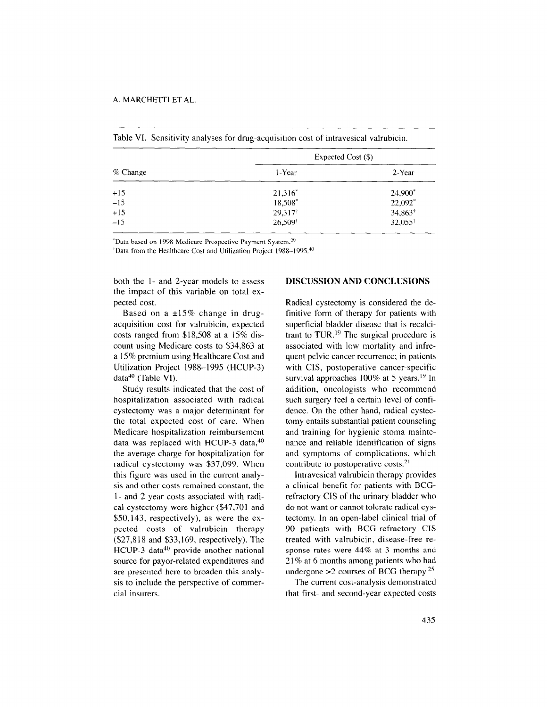|            | Expected Cost (\$)  |                       |
|------------|---------------------|-----------------------|
| $%$ Change | 1-Year              | 2-Year                |
| $+15$      | $21,316^*$          | 24,900*               |
| $-15$      | 18,508*             | 22,092*               |
| $+15$      | 29,317 <sup>†</sup> | $34,863$ <sup>+</sup> |
| $-15$      | 26,509 <sup>t</sup> | 32,055 <sup>†</sup>   |

Table VI. Sensitivity analyses for drug-acquisition cost of intravesical valrubicin.

\*Data based on 1998 Medicare Prospective Payment System.<sup>29</sup>

<sup>\*</sup>Data from the Healthcare Cost and Utilization Project 1988-1995.<sup>40</sup>

both the l- and 2-year models to assess the impact of this variable on total expected cost.

Based on a  $\pm 15\%$  change in drugacquisition cost for valrubicin, expected costs ranged from \$18,508 at a 15% discount using Medicare costs to \$34,863 at a 15% premium using Healthcare Cost and Utilization Project 1988-1995 (HCUP-3) data<sup>40</sup> (Table VI).

Study results indicated that the cost of hospitalization associated with radical cystectomy was a major determinant for the total expected cost of care. When Medicare hospitalization reimbursement data was replaced with HCUP-3 data,<sup>40</sup> the average charge for hospitalization for radical cystectomy was \$37,099. When this figure was used in the current analysis and other costs remained constant, the l- and 2-year costs associated with radical cystectomy were higher (\$47,701 and \$50,143, respectively), as were the expected costs of valrubicin therapy (\$27,8 18 and \$33,169, respectively). The HCUP-3 data<sup>40</sup> provide another national  $\frac{1}{2}$  and  $\frac{1}{2}$  provide another national source for payor-related expenditures and are presented here to broaden this analysis to include the perspective of commer-<br>cial insurers.

#### DISCUSSION AND CONCLUSIONS

Radical cystectomy is considered the definitive form of therapy for patients with superficial bladder disease that is recalcitrant to TUR.<sup>19</sup> The surgical procedure is associated with low mortality and infrequent pelvic cancer recurrence; in patients with CIS, postoperative cancer-specific survival approaches  $100\%$  at 5 years.<sup>19</sup> In addition, oncologists who recommend such surgery feel a certain level of confidence. On the other hand, radical cystectomy entails substantial patient counseling and training for hygienic stoma maintenance and reliable identification of signs and symptoms of complications, which contribute to postoperative costs. $21$ 

Intravesical valrubicin therapy provides a clinical benefit for patients with BCGrefractory CIS of the urinary bladder who do not want or cannot tolerate radical cystectomy. In an open-label clinical trial of 90 patients with BCG-refractory CIS to patients with been inaction of  $\frac{1}{44\%}$  and  $\frac{1}{4\%}$  are  $\frac{1}{4}$  months and  $\frac{1}{4}$ sponse rates were  $44\%$  at 3 months and  $21\%$  at 6 months among patients who had  $21$  *lea* communs among patients who had  $\frac{1}{2}$  courses of BCO merapy.

The current cost-analysis demonstrated<br>that first- and second-year expected costs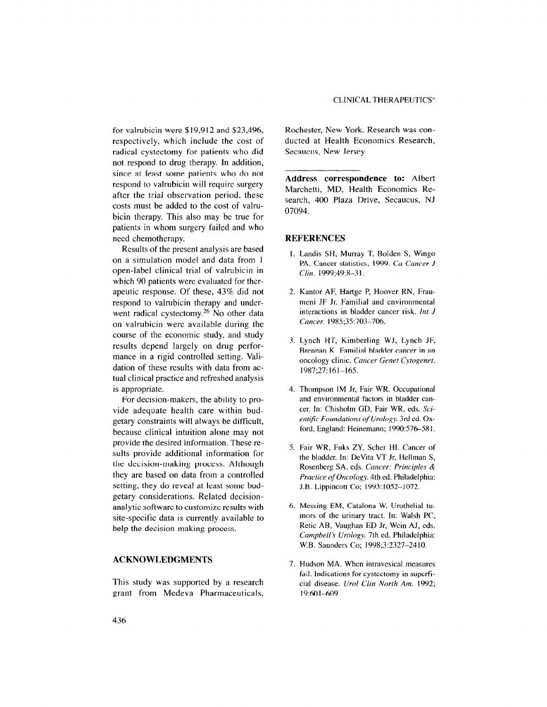for valrubicin were \$19,912 and \$23,496, respectively, which include the cost of radical cystectomy for patients who did not respond to drug therapy. In addition, since at least some patients who do not respond to valrubicin will require surgery after the trial observation period, these costs must be added to the cost of valrubicin therapy. This also may be true for patients in whom surgery failed and who need chemotherapy.

Results of the present analysis are based on a simulation model and data from 1 open-label clinical trial of valrubicin in which 90 patients were evaluated for therapeutic response. Of these, 43% did not respond to valrubicin therapy and underwent radical cystectomy.<sup>26</sup> No other data on valrubicin were available during the course of the economic study, and study results depend largely on drug performance in a rigid controlled setting. Validation of these results with data from actual clinical practice and refreshed analysis is appropriate.

For decision-makers, the ability to provide adequate health care within budgetary constraints will always be difficult, because clinical intuition alone may not provide the desired information. These results provide additional information for the decision-making process. Although they are based on data from a controlled setting, they do reveal at least some budgetary considerations. Related decisionanalytic software to customize results with site-specific data is currently available to she-speeme data is currently availa

# ACKNOWLEDGMENTS

 $T$  study was supported by a research  $T$  supported by a research  $T$  supported by a research  $T$ rins study was supported by a research

Rochester, New York. Research was conducted at Health Economics Research, Secaucus, New Jersey.

Address correspondence to: Albert Marchetti, MD, Health Economics Research, 400 Plaza Drive, Secaucus, NJ 07094.

#### REFERENCES

- 1. Landis SH, Murray T, Bolden S, Wingo PA. Cancer statistics, 1999. Ca Cancer J Clin. 1999;49:8-3 I.
- <sup>2</sup> Kantor AF, Hartge P, Hoover RN, Frau meni JF Jr. Familial and environmental interactions in bladder cancer risk. Int J Cancer. 1985:35:703-706.
- 3. Lynch HT, Kimberling WJ, Lynch JF, Brennan K. Familial bladder cancer in an oncology clinic. Cancer Genet Cytogenet. 1987;27:161-165.
- 4. Thompson IM Jr, Fair WR. Occupational and environmental factors in bladder cancer, In: Chisholm CD, Fair WR, eds. Scientific Foundations of Urology. 3rd ed. Oxford, England: Heinemann; 1990:576-581.
- $\epsilon$ .  $F_{\text{eff}}$  WR,  $F_{\text{eff}}$   $\overline{Z}V$ ,  $S_{\text{eff}}$  and  $H$ .  $C_{\text{eff}}$  and  $\epsilon$ the bladder. In: DeVita VT Jr, Hellman S, Rosenberg SA, eds. Cancer: Principles & Practice of Oncology. 4th ed. Philadelphia: J.B. Lippincott Co; 1993: 1052-1072.
- 6. Messing EM, Catalona W. Urothelial tumors of the urinary tract. In: Walsh PC, Retie AB, Vaughan ED Jr, Wein AJ, eds. Campbell's Urology. 7th ed. Philadelphia: W.B. Saunders Co; 1998;3:2327-24 IO.
- 7. Hudson MA. When intravesical measures  $\frac{1}{2}$  is  $\frac{1}{2}$ . In such the cystem in assumed in superficient of  $\frac{1}{2}$ ran. marcations for cysteetomy in supericial disease. *Urol Clin North Am.* 1992;<br>19:601-609.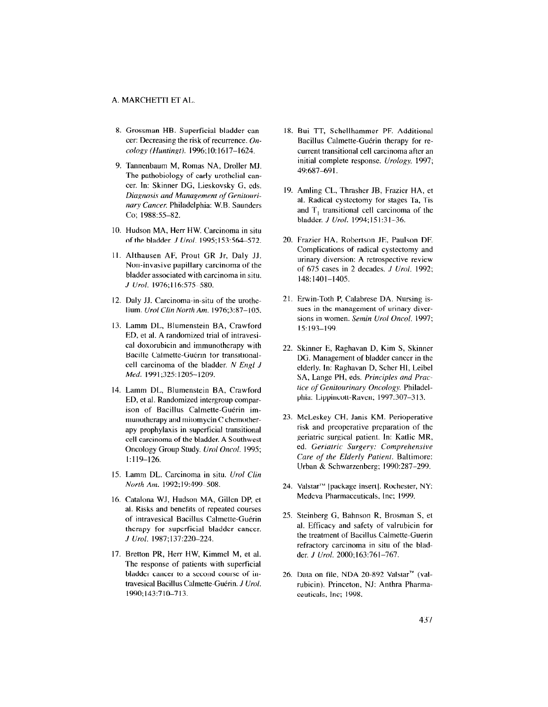- 8. Grossman HB. Superficial bladder cancer: Decreasing the risk of recurrence. Oncology (Huntingt). 1996;lO: 1617-1624.
- 9. Tannenbaum M, Romas NA, Droller MJ. The pathobiology of early urothelial cancer. In: Skinner DC, Lieskovsky G, eds. Diagnosis and Management of Genitourinary Cancer. Philadelphia: W.B. Saunders Co; 1988:55-82.
- 10. Hudson MA, Herr HW. Carcinoma in situ of the bladder. J Ural. 1995;153:564-572.
- II. Althausen AF, Prout CR Jr, Daly JJ. Non-invasive papillary carcinoma of the bladder associated with carcinoma in situ. J Ural. 1976; I 16:575-580.
- 12. Daly JJ. Carcinoma-in-situ of the urothelium. Ural Clin North Am. 1976;3:87-105.
- 13. Lamm DL, Blumenstein BA, Crawfor ED, et al. A randomized trial of intravesical doxorubicin and immunotherapy with Bacille Calmette-Guérin for transitionalcell carcinoma of the bladder. N Engl J Med. 1991;325:1205-1209.
- 14. Lamm DL, Blumenstein BA, Crawfor ED, et al. Randomized intergroup comparison of Bacillus Calmette-Guérin immunotherapy and mitomycin C chemotherapy prophylaxis in superficial transitional cell carcinoma of the bladder. A Southwest Oncology Group Study. Ural Oncol. 1995; 1:119-126.
- 15. Lamm DL. Carcinoma in situ. Ural Clin North Am. 1992;19:499-508.
- 16. Catalona WJ, Hudson MA, Gillen DP, et al. Risks and benefits of repeated courses of intravesical Bacillus Calmette-Guérin therapy for superficial bladder cancer. J Ural. 1987; 137:220-224.
- 17. Bretton PR, Herr HW, Kimmel M, et al. The response of patients with superficial bladder cancer to a second course of intravesical Bacillus Calmette-Guérin. J Urol. 1990;143:710-713.
- 18. Bui TT, Schellhammer PF. Addition Bacillus Calmette-Guérin therapy for recurrent transitional cell carcinoma after an initial complete response. Urology. 1997; 49:687-691.
- 19. Amling CL, Thrasher JB, Frazier HA, et al. Radical cystectomy for stages Ta, Tis and T, transitional cell carcinoma of the bladder. J Ural. 1994; 15 I :3 l-36.
- 20. Frazier HA, Robertson JE, Paulson DE Complications of radical cystectomy and urinary diversion: A retrospective review of 675 cases in 2 decades. J Ural. 1992; 148:1401-1405.
- 21 Erwin-Toth P, Calabrese DA. Nursing issues in the management of urinary diversions in women. Semin Ural Oncol. 1997: 15:193-199.
- 22. Skinner E, Raghavan D, Kim S, Skinner DG. Management of bladder cancer in the elderly. In: Raghavan D, Scher HI, Leibel SA, Lange PH, eds. Principles and Practice of Genitourinary Oncology. Philadelphia: Lippincott-Raven; 1997:307-3 13.
- 23. McLeskey CH, Janis KM. Perioperative risk and preoperative preparation of the geriatric surgical patient. In: Katlic MR, ed. Geriatric Surgery: Comprehensive Care of the Elderly Patient. Baltimore: Urban & Schwarzenberg; 1990:287-299.
- 24. Valstar'" [package insert]. Rochester, NY: Medeva Pharmaceuticals, Inc; 1999.
- $25.0$   $\pm 1.0$   $\sigma$ , Bahnson R, Brosnan  $\sigma$ , et al. Efficacy and safety of valrubicin for the treatment of Bacillus Calmette-Guerin refractory carcinoma in situ of the bladder. J Urol. 2000;163:761-767.
- $26. \, \text{m}$  (value on file,  $\frac{10}{2}$ rubicin). Princeton, NJ: Anthra Pharmaceuticals, Inc; 1998.